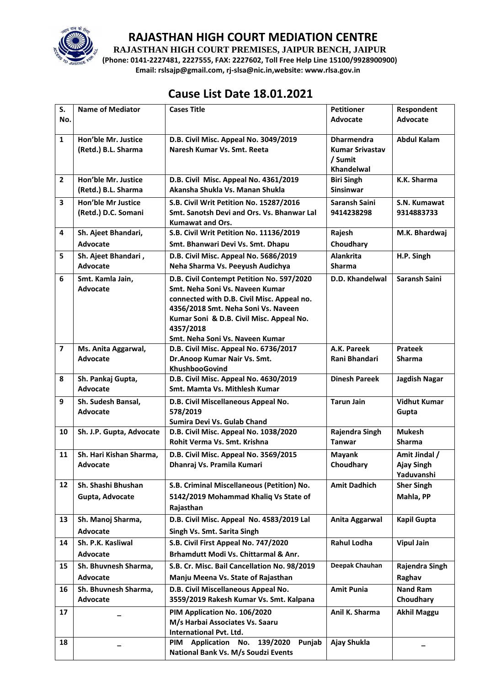

**RAJASTHAN HIGH COURT PREMISES, JAIPUR BENCH, JAIPUR**

**(Phone: 0141-2227481, 2227555, FAX: 2227602, Toll Free Help Line 15100/9928900900) Email: rslsajp@gmail.com, rj-slsa@nic.in,website: www.rlsa.gov.in**

## **Cause List Date 18.01.2021**

| S.                      | <b>Name of Mediator</b>                    | <b>Cases Title</b>                                                                | <b>Petitioner</b>                           | Respondent          |
|-------------------------|--------------------------------------------|-----------------------------------------------------------------------------------|---------------------------------------------|---------------------|
| No.                     |                                            |                                                                                   | <b>Advocate</b>                             | <b>Advocate</b>     |
| $\mathbf{1}$            | Hon'ble Mr. Justice<br>(Retd.) B.L. Sharma | D.B. Civil Misc. Appeal No. 3049/2019<br>Naresh Kumar Vs. Smt. Reeta              | <b>Dharmendra</b><br><b>Kumar Srivastav</b> | <b>Abdul Kalam</b>  |
|                         |                                            |                                                                                   | / Sumit<br>Khandelwal                       |                     |
| $\overline{2}$          | Hon'ble Mr. Justice<br>(Retd.) B.L. Sharma | D.B. Civil Misc. Appeal No. 4361/2019<br>Akansha Shukla Vs. Manan Shukla          | <b>Biri Singh</b><br><b>Sinsinwar</b>       | K.K. Sharma         |
| 3                       | Hon'ble Mr Justice                         | S.B. Civil Writ Petition No. 15287/2016                                           | Saransh Saini                               | S.N. Kumawat        |
|                         | (Retd.) D.C. Somani                        | Smt. Sanotsh Devi and Ors. Vs. Bhanwar Lal<br><b>Kumawat and Ors.</b>             | 9414238298                                  | 9314883733          |
| 4                       | Sh. Ajeet Bhandari,                        | S.B. Civil Writ Petition No. 11136/2019                                           | Rajesh                                      | M.K. Bhardwaj       |
|                         | Advocate                                   | Smt. Bhanwari Devi Vs. Smt. Dhapu                                                 | Choudhary                                   |                     |
| 5                       | Sh. Ajeet Bhandari,                        | D.B. Civil Misc. Appeal No. 5686/2019                                             | Alankrita                                   | H.P. Singh          |
|                         | Advocate                                   | Neha Sharma Vs. Peeyush Audichya                                                  | <b>Sharma</b>                               |                     |
| 6                       | Smt. Kamla Jain,                           | D.B. Civil Contempt Petition No. 597/2020                                         | D.D. Khandelwal                             | Saransh Saini       |
|                         | <b>Advocate</b>                            | Smt. Neha Soni Vs. Naveen Kumar                                                   |                                             |                     |
|                         |                                            | connected with D.B. Civil Misc. Appeal no.<br>4356/2018 Smt. Neha Soni Vs. Naveen |                                             |                     |
|                         |                                            | Kumar Soni & D.B. Civil Misc. Appeal No.                                          |                                             |                     |
|                         |                                            | 4357/2018                                                                         |                                             |                     |
|                         |                                            | Smt. Neha Soni Vs. Naveen Kumar                                                   |                                             |                     |
| $\overline{\mathbf{z}}$ | Ms. Anita Aggarwal,                        | D.B. Civil Misc. Appeal No. 6736/2017                                             | A.K. Pareek                                 | <b>Prateek</b>      |
|                         | <b>Advocate</b>                            | Dr.Anoop Kumar Nair Vs. Smt.                                                      | Rani Bhandari                               | <b>Sharma</b>       |
|                         |                                            | KhushbooGovind                                                                    |                                             |                     |
| 8                       | Sh. Pankaj Gupta,                          | D.B. Civil Misc. Appeal No. 4630/2019                                             | <b>Dinesh Pareek</b>                        | Jagdish Nagar       |
|                         | Advocate                                   | Smt. Mamta Vs. Mithlesh Kumar                                                     |                                             |                     |
| 9                       | Sh. Sudesh Bansal,                         | D.B. Civil Miscellaneous Appeal No.                                               | <b>Tarun Jain</b>                           | <b>Vidhut Kumar</b> |
|                         | <b>Advocate</b>                            | 578/2019                                                                          |                                             | Gupta               |
|                         |                                            | Sumira Devi Vs. Gulab Chand                                                       |                                             |                     |
| 10                      | Sh. J.P. Gupta, Advocate                   | D.B. Civil Misc. Appeal No. 1038/2020                                             | Rajendra Singh                              | <b>Mukesh</b>       |
|                         |                                            | Rohit Verma Vs. Smt. Krishna                                                      | <b>Tanwar</b>                               | <b>Sharma</b>       |
| 11                      | Sh. Hari Kishan Sharma,                    | D.B. Civil Misc. Appeal No. 3569/2015                                             | <b>Mayank</b>                               | Amit Jindal /       |
|                         | <b>Advocate</b>                            | Dhanraj Vs. Pramila Kumari                                                        | Choudhary                                   | <b>Ajay Singh</b>   |
|                         |                                            |                                                                                   |                                             | Yaduvanshi          |
| 12                      | Sh. Shashi Bhushan                         | S.B. Criminal Miscellaneous (Petition) No.                                        | <b>Amit Dadhich</b>                         | <b>Sher Singh</b>   |
|                         | Gupta, Advocate                            | 5142/2019 Mohammad Khaliq Vs State of                                             |                                             | Mahla, PP           |
|                         |                                            | Rajasthan                                                                         |                                             |                     |
| 13                      | Sh. Manoj Sharma,                          | D.B. Civil Misc. Appeal No. 4583/2019 Lal                                         | Anita Aggarwal                              | Kapil Gupta         |
|                         | Advocate                                   | Singh Vs. Smt. Sarita Singh                                                       |                                             |                     |
| 14                      | Sh. P.K. Kasliwal                          | S.B. Civil First Appeal No. 747/2020                                              | Rahul Lodha                                 | <b>Vipul Jain</b>   |
|                         | Advocate                                   | Brhamdutt Modi Vs. Chittarmal & Anr.                                              |                                             |                     |
| 15                      | Sh. Bhuvnesh Sharma,                       | S.B. Cr. Misc. Bail Cancellation No. 98/2019                                      | Deepak Chauhan                              | Rajendra Singh      |
|                         | <b>Advocate</b>                            | Manju Meena Vs. State of Rajasthan                                                |                                             | Raghav              |
| 16                      | Sh. Bhuvnesh Sharma,                       | D.B. Civil Miscellaneous Appeal No.                                               | <b>Amit Punia</b>                           | <b>Nand Ram</b>     |
|                         | Advocate                                   | 3559/2019 Rakesh Kumar Vs. Smt. Kalpana                                           |                                             | Choudhary           |
| 17                      |                                            | PIM Application No. 106/2020                                                      | Anil K. Sharma                              | <b>Akhil Maggu</b>  |
|                         |                                            | M/s Harbai Associates Vs. Saaru                                                   |                                             |                     |
|                         |                                            | International Pvt. Ltd.                                                           |                                             |                     |
| 18                      |                                            | Application No. 139/2020<br>PIM<br>Punjab                                         | Ajay Shukla                                 |                     |
|                         |                                            | National Bank Vs. M/s Soudzi Events                                               |                                             |                     |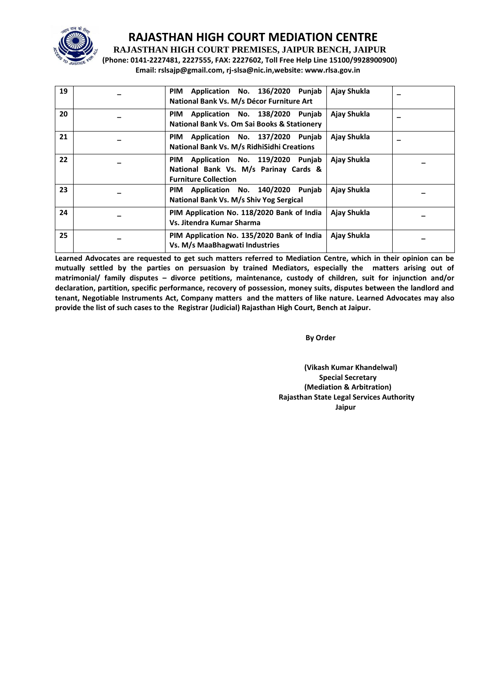

**RAJASTHAN HIGH COURT PREMISES, JAIPUR BENCH, JAIPUR**

**(Phone: 0141-2227481, 2227555, FAX: 2227602, Toll Free Help Line 15100/9928900900) Email: rslsajp@gmail.com, rj-slsa@nic.in,website: www.rlsa.gov.in**

| 19 | Application No. 136/2020 Punjab<br><b>PIM</b><br>National Bank Vs. M/s Décor Furniture Art                     | Ajay Shukla |  |
|----|----------------------------------------------------------------------------------------------------------------|-------------|--|
| 20 | Application No. 138/2020 Punjab<br><b>PIM</b><br>National Bank Vs. Om Sai Books & Stationery                   | Ajay Shukla |  |
| 21 | Application No. 137/2020 Punjab<br>PIM<br>National Bank Vs. M/s RidhiSidhi Creations                           | Ajay Shukla |  |
| 22 | Application No. 119/2020 Punjab<br>PIM<br>National Bank Vs. M/s Parinay Cards &<br><b>Furniture Collection</b> | Ajay Shukla |  |
| 23 | Application No. 140/2020 Punjab<br>PIM<br>National Bank Vs. M/s Shiv Yog Sergical                              | Ajay Shukla |  |
| 24 | PIM Application No. 118/2020 Bank of India<br>Vs. Jitendra Kumar Sharma                                        | Ajay Shukla |  |
| 25 | PIM Application No. 135/2020 Bank of India<br>Vs. M/s MaaBhagwati Industries                                   | Ajay Shukla |  |

**Learned Advocates are requested to get such matters referred to Mediation Centre, which in their opinion can be mutually settled by the parties on persuasion by trained Mediators, especially the matters arising out of matrimonial/ family disputes – divorce petitions, maintenance, custody of children, suit for injunction and/or declaration, partition, specific performance, recovery of possession, money suits, disputes between the landlord and tenant, Negotiable Instruments Act, Company matters and the matters of like nature. Learned Advocates may also provide the list of such cases to the Registrar (Judicial) Rajasthan High Court, Bench at Jaipur.** 

 **By Order** 

**(Vikash Kumar Khandelwal) Special Secretary (Mediation & Arbitration) Rajasthan State Legal Services Authority Jaipur**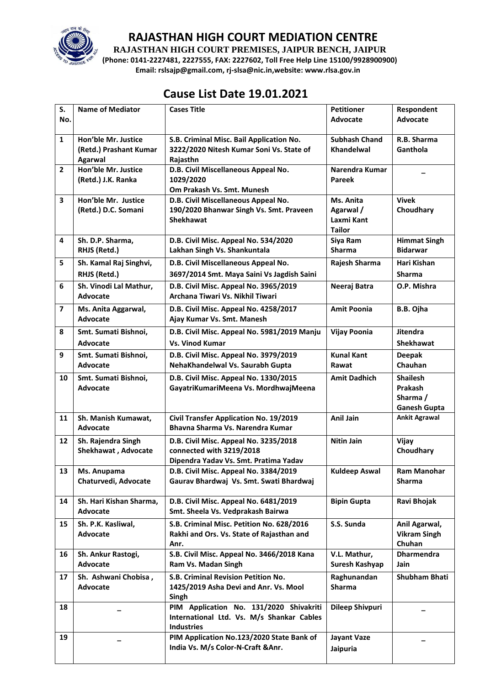

**RAJASTHAN HIGH COURT PREMISES, JAIPUR BENCH, JAIPUR**

**(Phone: 0141-2227481, 2227555, FAX: 2227602, Toll Free Help Line 15100/9928900900) Email: rslsajp@gmail.com, rj-slsa@nic.in,website: www.rlsa.gov.in**

# **Cause List Date 19.01.2021**

| S.             | <b>Name of Mediator</b>                 | <b>Cases Title</b>                                                                | <b>Petitioner</b>          | Respondent                                  |
|----------------|-----------------------------------------|-----------------------------------------------------------------------------------|----------------------------|---------------------------------------------|
| No.            |                                         |                                                                                   | Advocate                   | <b>Advocate</b>                             |
| $\mathbf{1}$   | Hon'ble Mr. Justice                     | S.B. Criminal Misc. Bail Application No.                                          | <b>Subhash Chand</b>       | R.B. Sharma                                 |
|                | (Retd.) Prashant Kumar<br>Agarwal       | 3222/2020 Nitesh Kumar Soni Vs. State of<br>Rajasthn                              | <b>Khandelwal</b>          | Ganthola                                    |
| $\overline{2}$ | Hon'ble Mr. Justice                     | D.B. Civil Miscellaneous Appeal No.                                               | Narendra Kumar             |                                             |
|                | (Retd.) J.K. Ranka                      | 1029/2020                                                                         | <b>Pareek</b>              |                                             |
|                | Hon'ble Mr. Justice                     | Om Prakash Vs. Smt. Munesh                                                        |                            | <b>Vivek</b>                                |
| 3              | (Retd.) D.C. Somani                     | D.B. Civil Miscellaneous Appeal No.<br>190/2020 Bhanwar Singh Vs. Smt. Praveen    | Ms. Anita<br>Agarwal /     | Choudhary                                   |
|                |                                         | <b>Shekhawat</b>                                                                  | Laxmi Kant                 |                                             |
|                |                                         |                                                                                   | <b>Tailor</b>              |                                             |
| 4              | Sh. D.P. Sharma,<br>RHJS (Retd.)        | D.B. Civil Misc. Appeal No. 534/2020<br>Lakhan Singh Vs. Shankuntala              | Siya Ram<br><b>Sharma</b>  | <b>Himmat Singh</b><br><b>Bidarwar</b>      |
| 5              | Sh. Kamal Raj Singhvi,                  | D.B. Civil Miscellaneous Appeal No.                                               | Rajesh Sharma              | Hari Kishan                                 |
|                | RHJS (Retd.)                            | 3697/2014 Smt. Maya Saini Vs Jagdish Saini                                        |                            | <b>Sharma</b>                               |
| 6              | Sh. Vinodi Lal Mathur,                  | D.B. Civil Misc. Appeal No. 3965/2019                                             | Neeraj Batra               | O.P. Mishra                                 |
|                | Advocate                                | Archana Tiwari Vs. Nikhil Tiwari                                                  |                            |                                             |
| $\overline{7}$ | Ms. Anita Aggarwal,                     | D.B. Civil Misc. Appeal No. 4258/2017                                             | <b>Amit Poonia</b>         | B.B. Ojha                                   |
|                | <b>Advocate</b>                         | Ajay Kumar Vs. Smt. Manesh                                                        |                            |                                             |
| 8              | Smt. Sumati Bishnoi,                    | D.B. Civil Misc. Appeal No. 5981/2019 Manju                                       | <b>Vijay Poonia</b>        | <b>Jitendra</b>                             |
|                | Advocate                                | <b>Vs. Vinod Kumar</b>                                                            |                            | <b>Shekhawat</b>                            |
| 9              | Smt. Sumati Bishnoi,<br><b>Advocate</b> | D.B. Civil Misc. Appeal No. 3979/2019<br>NehaKhandelwal Vs. Saurabh Gupta         | <b>Kunal Kant</b><br>Rawat | <b>Deepak</b><br>Chauhan                    |
| 10             | Smt. Sumati Bishnoi,                    | D.B. Civil Misc. Appeal No. 1330/2015                                             | <b>Amit Dadhich</b>        | <b>Shailesh</b>                             |
|                | <b>Advocate</b>                         | GayatriKumariMeena Vs. MordhwajMeena                                              |                            | Prakash                                     |
|                |                                         |                                                                                   |                            | Sharma /                                    |
|                |                                         |                                                                                   | <b>Anil Jain</b>           | <b>Ganesh Gupta</b><br><b>Ankit Agrawal</b> |
| 11             | Sh. Manish Kumawat,<br><b>Advocate</b>  | <b>Civil Transfer Application No. 19/2019</b><br>Bhavna Sharma Vs. Narendra Kumar |                            |                                             |
| 12             | Sh. Rajendra Singh                      | D.B. Civil Misc. Appeal No. 3235/2018                                             | <b>Nitin Jain</b>          | Vijay                                       |
|                | Shekhawat, Advocate                     | connected with 3219/2018                                                          |                            | Choudhary                                   |
| 13             | Ms. Anupama                             | Dipendra Yadav Vs. Smt. Pratima Yadav<br>D.B. Civil Misc. Appeal No. 3384/2019    | <b>Kuldeep Aswal</b>       | <b>Ram Manohar</b>                          |
|                | Chaturvedi, Advocate                    | Gaurav Bhardwaj Vs. Smt. Swati Bhardwaj                                           |                            | <b>Sharma</b>                               |
|                |                                         |                                                                                   |                            |                                             |
| 14             | Sh. Hari Kishan Sharma,<br>Advocate     | D.B. Civil Misc. Appeal No. 6481/2019<br>Smt. Sheela Vs. Vedprakash Bairwa        | <b>Bipin Gupta</b>         | Ravi Bhojak                                 |
| 15             | Sh. P.K. Kasliwal,                      | S.B. Criminal Misc. Petition No. 628/2016                                         | S.S. Sunda                 | Anil Agarwal,                               |
|                | Advocate                                | Rakhi and Ors. Vs. State of Rajasthan and                                         |                            | <b>Vikram Singh</b>                         |
| 16             | Sh. Ankur Rastogi,                      | Anr.<br>S.B. Civil Misc. Appeal No. 3466/2018 Kana                                | V.L. Mathur,               | Chuhan<br><b>Dharmendra</b>                 |
|                | <b>Advocate</b>                         | Ram Vs. Madan Singh                                                               | Suresh Kashyap             | Jain                                        |
| 17             | Sh. Ashwani Chobisa,                    | S.B. Criminal Revision Petition No.                                               | Raghunandan                | <b>Shubham Bhati</b>                        |
|                | Advocate                                | 1425/2019 Asha Devi and Anr. Vs. Mool                                             | <b>Sharma</b>              |                                             |
| 18             |                                         | Singh<br>PIM Application No. 131/2020 Shivakriti                                  | <b>Dileep Shivpuri</b>     |                                             |
|                |                                         | International Ltd. Vs. M/s Shankar Cables                                         |                            |                                             |
|                |                                         | <b>Industries</b>                                                                 |                            |                                             |
| 19             |                                         | PIM Application No.123/2020 State Bank of                                         | <b>Jayant Vaze</b>         |                                             |
|                |                                         | India Vs. M/s Color-N-Craft & Anr.                                                | Jaipuria                   |                                             |